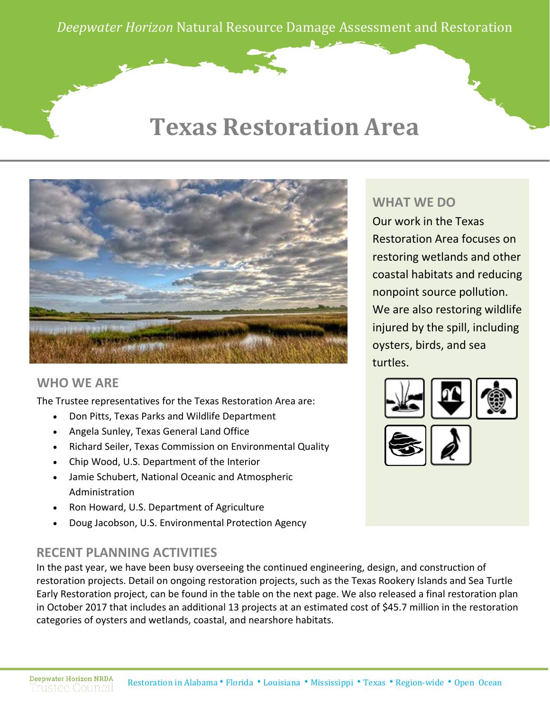*Deepwater Horizon* Natural Resource Damage Assessment and Restoration

## **Texas Restoration Area**



#### **WHO WE ARE**

The Trustee representatives for the Texas Restoration Area are:

- Don Pitts, Texas Parks and Wildlife Department
- Angela Sunley, Texas General Land Office
- Richard Seiler, Texas Commission on Environmental Quality
- Chip Wood, U.S. Department of the Interior
- Jamie Schubert, National Oceanic and Atmospheric Administration
- Ron Howard, U.S. Department of Agriculture
- Doug Jacobson, U.S. Environmental Protection Agency

#### **RECENT PLANNING ACTIVITIES**

In the past year, we have been busy overseeing the continued engineering, design, and construction of restoration projects. Detail on ongoing restoration projects, such as the Texas Rookery Islands and Sea Turtle Early Restoration project, can be found in the table on the next page. We also released a final restoration plan in October 2017 that includes an additional 13 projects at an estimated cost of \$45.7 million in the restoration categories of oysters and wetlands, coastal, and nearshore habitats.

### **WHAT WE DO**

Our work in the Texas Restoration Area focuses on restoring wetlands and other coastal habitats and reducing nonpoint source pollution. We are also restoring wildlife injured by the spill, including oysters, birds, and sea turtles.

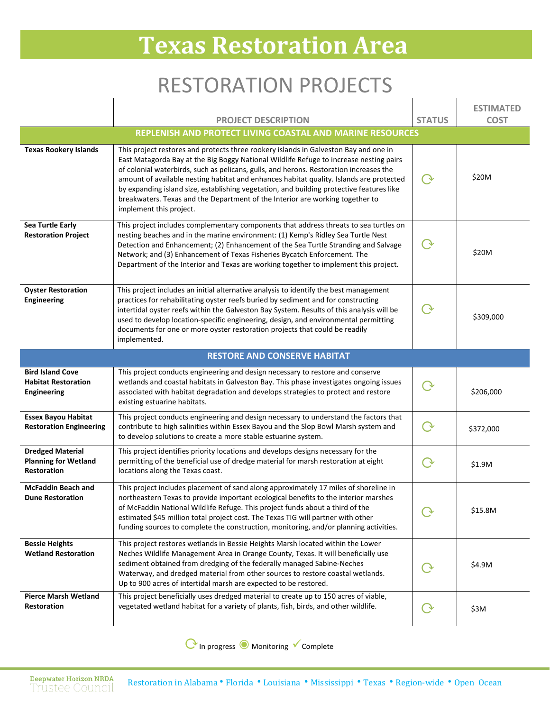## **Texas Restoration Area**

## RESTORATION PROJECTS

 $\overline{1}$ 

 $\mathbf{I}$ 

 $\overline{1}$ 

|                                                                             | <b>PROJECT DESCRIPTION</b>                                                                                                                                                                                                                                                                                                                                                                                                                                                                                                                                                  | <b>STATUS</b>      | <b>ESTIMATED</b><br><b>COST</b> |  |  |
|-----------------------------------------------------------------------------|-----------------------------------------------------------------------------------------------------------------------------------------------------------------------------------------------------------------------------------------------------------------------------------------------------------------------------------------------------------------------------------------------------------------------------------------------------------------------------------------------------------------------------------------------------------------------------|--------------------|---------------------------------|--|--|
| REPLENISH AND PROTECT LIVING COASTAL AND MARINE RESOURCES                   |                                                                                                                                                                                                                                                                                                                                                                                                                                                                                                                                                                             |                    |                                 |  |  |
| <b>Texas Rookery Islands</b>                                                | This project restores and protects three rookery islands in Galveston Bay and one in<br>East Matagorda Bay at the Big Boggy National Wildlife Refuge to increase nesting pairs<br>of colonial waterbirds, such as pelicans, gulls, and herons. Restoration increases the<br>amount of available nesting habitat and enhances habitat quality. Islands are protected<br>by expanding island size, establishing vegetation, and building protective features like<br>breakwaters. Texas and the Department of the Interior are working together to<br>implement this project. | $\Delta$           | \$20M                           |  |  |
| Sea Turtle Early<br><b>Restoration Project</b>                              | This project includes complementary components that address threats to sea turtles on<br>nesting beaches and in the marine environment: (1) Kemp's Ridley Sea Turtle Nest<br>Detection and Enhancement; (2) Enhancement of the Sea Turtle Stranding and Salvage<br>Network; and (3) Enhancement of Texas Fisheries Bycatch Enforcement. The<br>Department of the Interior and Texas are working together to implement this project.                                                                                                                                         | $\dot{\mathbf{y}}$ | \$20M                           |  |  |
| <b>Oyster Restoration</b><br>Engineering                                    | This project includes an initial alternative analysis to identify the best management<br>practices for rehabilitating oyster reefs buried by sediment and for constructing<br>intertidal oyster reefs within the Galveston Bay System. Results of this analysis will be<br>used to develop location-specific engineering, design, and environmental permitting<br>documents for one or more oyster restoration projects that could be readily<br>implemented.                                                                                                               |                    | \$309,000                       |  |  |
|                                                                             | <b>RESTORE AND CONSERVE HABITAT</b>                                                                                                                                                                                                                                                                                                                                                                                                                                                                                                                                         |                    |                                 |  |  |
| <b>Bird Island Cove</b><br><b>Habitat Restoration</b><br><b>Engineering</b> | This project conducts engineering and design necessary to restore and conserve<br>wetlands and coastal habitats in Galveston Bay. This phase investigates ongoing issues<br>associated with habitat degradation and develops strategies to protect and restore<br>existing estuarine habitats.                                                                                                                                                                                                                                                                              | $\rm{O}$           | \$206,000                       |  |  |
| <b>Essex Bayou Habitat</b><br><b>Restoration Engineering</b>                | This project conducts engineering and design necessary to understand the factors that<br>contribute to high salinities within Essex Bayou and the Slop Bowl Marsh system and<br>to develop solutions to create a more stable estuarine system.                                                                                                                                                                                                                                                                                                                              | $\lambda$          | \$372,000                       |  |  |
| <b>Dredged Material</b><br><b>Planning for Wetland</b><br>Restoration       | This project identifies priority locations and develops designs necessary for the<br>permitting of the beneficial use of dredge material for marsh restoration at eight<br>locations along the Texas coast.                                                                                                                                                                                                                                                                                                                                                                 |                    | \$1.9M                          |  |  |
| <b>McFaddin Beach and</b><br><b>Dune Restoration</b>                        | This project includes placement of sand along approximately 17 miles of shoreline in<br>northeastern Texas to provide important ecological benefits to the interior marshes<br>of McFaddin National Wildlife Refuge. This project funds about a third of the<br>estimated \$45 million total project cost. The Texas TIG will partner with other<br>funding sources to complete the construction, monitoring, and/or planning activities.                                                                                                                                   | $\curvearrowright$ | \$15.8M                         |  |  |
| <b>Bessie Heights</b><br><b>Wetland Restoration</b>                         | This project restores wetlands in Bessie Heights Marsh located within the Lower<br>Neches Wildlife Management Area in Orange County, Texas. It will beneficially use<br>sediment obtained from dredging of the federally managed Sabine-Neches<br>Waterway, and dredged material from other sources to restore coastal wetlands.<br>Up to 900 acres of intertidal marsh are expected to be restored.                                                                                                                                                                        |                    | \$4.9M                          |  |  |
| <b>Pierce Marsh Wetland</b><br>Restoration                                  | This project beneficially uses dredged material to create up to 150 acres of viable,<br>vegetated wetland habitat for a variety of plants, fish, birds, and other wildlife.                                                                                                                                                                                                                                                                                                                                                                                                 |                    | \$3M                            |  |  |

⟳In progress ◉ Monitoring Complete